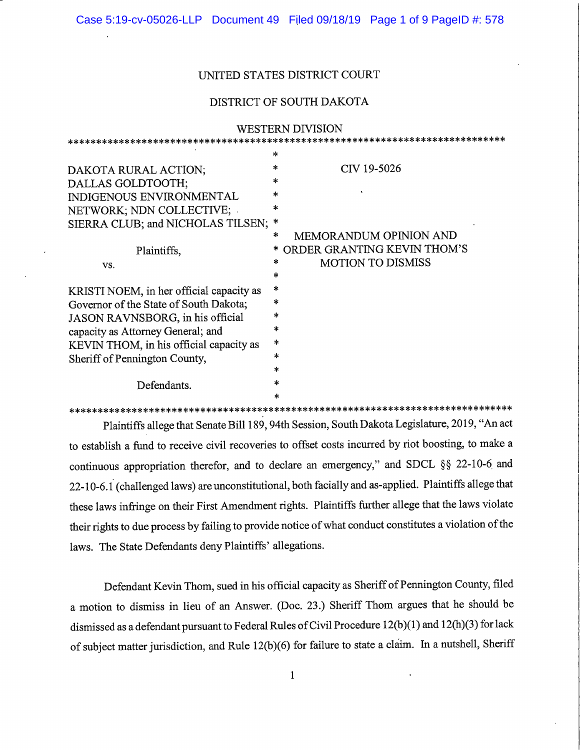## UNITED STATES DISTRICT COURT

## DISTRICT OF SOUTH DAKOTA

| <b>WESTERN DIVISION</b>                  |        |                               |
|------------------------------------------|--------|-------------------------------|
| *****************************            |        |                               |
|                                          | *      |                               |
| DAKOTA RURAL ACTION;                     | *      | CIV 19-5026                   |
| DALLAS GOLDTOOTH;                        | $\ast$ |                               |
| <b>INDIGENOUS ENVIRONMENTAL</b>          | *      |                               |
| NETWORK; NDN COLLECTIVE;                 | ×      |                               |
| SIERRA CLUB; and NICHOLAS TILSEN;        | ∗      |                               |
|                                          | *      | <b>MEMORANDUM OPINION AND</b> |
| Plaintiffs,                              |        | ORDER GRANTING KEVIN THOM'S   |
| VS.                                      | $\ast$ | <b>MOTION TO DISMISS</b>      |
|                                          | *      |                               |
| KRISTI NOEM, in her official capacity as | *      |                               |
| Governor of the State of South Dakota;   | $\ast$ |                               |
| JASON RAVNSBORG, in his official         | ∗      |                               |
| capacity as Attorney General; and        | ×      |                               |
| KEVIN THOM, in his official capacity as  | *      |                               |
| Sheriff of Pennington County,            | $\ast$ |                               |
|                                          | *      |                               |
| Defendants.                              | *      |                               |
|                                          | *      |                               |

\*\*\*\*\*\*\*\*\*\*\*\*\*\*\*\*\*\*\*\*\*\*\*\*\*\*\*\*\*\*\*\*\*\*\*\*\*\*\*\*\*\*\*\*\*\*\*\*\*\*\*\*\*\*\*\*\*\*\*\*\*\*\*\*\*\*\*\*\*\*\*\*\*\*\*\*\*\* Plaintiffs allege that Senate Bill 189,94th Session, South Dakota Legislature, 2019, "An act to establish a fund to receive civil recoveries to offset costs incurred by riot boosting, to make a continuous appropriation therefor, and to declare an emergency," and SDCL §§ 22-10-6 and 22-10-6.1 (challenged laws) are unconstitutional, both facially and as-applied. Plaintiffs allege that these laws infringe on their First Amendment rights. Plaintiffs further allege that the laws violate their rights to due process by failing to provide notice of what conduct constitutes a violation of the laws. The State Defendants deny Plaintiffs' allegations.

Defendant Kevin Thom, sued in his official capacity as Sheriff of Pennington County, filed a motion to dismiss in lieu of an Answer. (Doc. 23.) Sheriff Thom argues that he should be dismissed as a defendant pursuant to Federal Rules of Civil Procedure 12(b)(1) and 12(h)(3) for lack of subject matter jurisdiction, and Rule 12(b)(6) for failure to state a claim. In a nutshell. Sheriff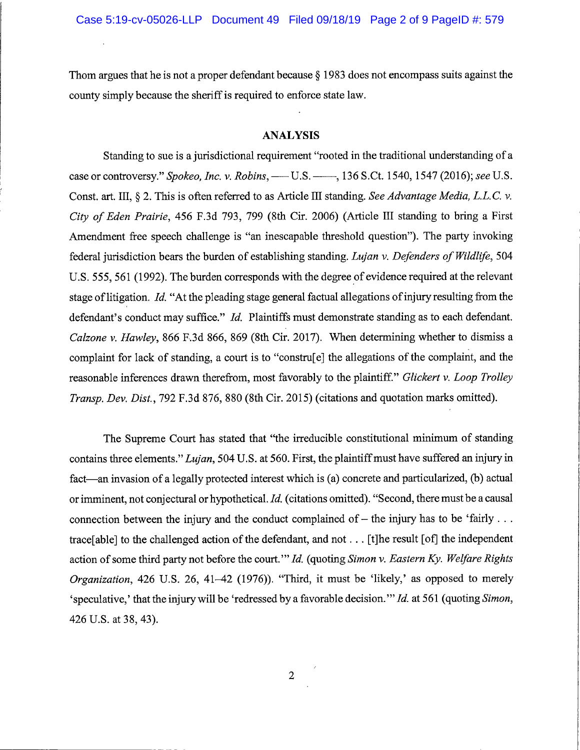Thom argues that he is not a proper defendant because § 1983 does not encompass suits against the county simply because the sheriff is required to enforce state law.

## ANALYSIS

Standing to sue is a jurisdictional requirement "rooted in the traditional understanding of a case or controversy." Spokeo, Inc. v. Robins,  $---$  U.S.  $---$ , 136 S.Ct. 1540, 1547 (2016); see U.S. Const. art. III,  $\S 2$ . This is often referred to as Article III standing. See Advantage Media, L.L.C. v. City of Eden Prairie, 456 F.3d 793, 799 (8th Cir. 2006) (Article HI standing to bring a First Amendment free speech challenge is "an ineseapable threshold question"). The party invoking federal jurisdiction bears the burden of establishing standing. Lujan v. Defenders of Wildlife, 504 U.S. 555, 561 (1992). The burden corresponds with the degree of evidence required at the relevant stage of litigation. Id. "At the pleading stage general factual allegations of injury resulting from the defendant's conduct may suffice." Id. Plaintiffs must demonstrate standing as to each defendant. Calzone v. Hawley, 866 F.3d 866, 869 (8th Cir. 2017). When determining whether to dismiss a complaint for lack of standing, a court is to "constru[e] the allegations of the complaint, and the reasonable inferences drawn therefrom, most favorably to the plaintiff." Glickert v. Loop Trolley Transp. Dev. Dist., 792 F.3d 876, 880 (8th Cir. 2015) (citations and quotation marks omitted).

The Supreme Court has stated that "the irreducible constitutional minimum of standing contains three elements." Lujan, 504 U.S. at 560. First, the plaintiff must have suffered an injury in fact—an invasion of a legally protected interest which is (a) concrete and particularized, (b) actual or imminent, not conjectural or hypothetical. Id. (citations omitted). "Second, there must be a causal connection between the injury and the conduct complained of  $-$  the injury has to be 'fairly ... traee[able] to the challenged action of the defendant, and not. . . [tjhe result [of] the independent action of some third party not before the court."" Id. (quoting Simon v. Eastern Ky. Welfare Rights Organization, 426 U.S. 26, 41-42 (1976)). "Third, it must be 'likely,' as opposed to merely 'speculative,' that the injury will be 'redressed by a favorable decision.'" Id. at 561 (quoting Simon, 426 U.S. at 38, 43).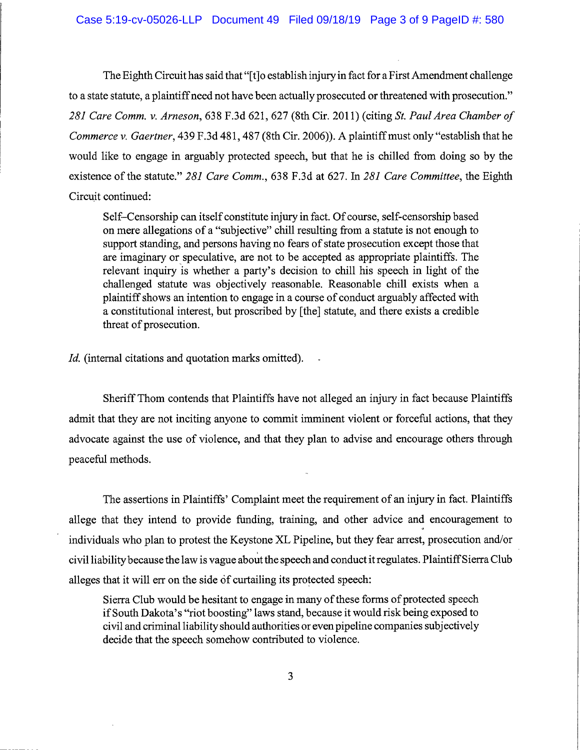The Eighth Circuit has said that "[t]o establish injury in fact for a First Amendment challenge to a state statute, a plaintiff need not have been actually prosecuted or threatened with prosecution." 281 Care Comm. v. Arneson, 638 F.3d 621, 627 (8th Cir. 2011) (citing St. Paul Area Chamber of Commerce v. Gaertner, 439 F.3d 481, 487 (8th Cir. 2006)). A plaintiff must only "establish that he would like to engage in arguably protected speech, but that he is chilled from doing so by the existence of the statute." 281 Care Comm., 638 F.3d at 627. In 281 Care Committee, the Eighth Circuit continued:

Self-Censorship can itself constitute injury in fact. Of course, self-censorship based on mere allegations of a "subjective" chill resulting from a statute is not enough to support standing, and persons having no fears of state prosecution except those that are imaginary or speculative, are not to be accepted as appropriate plaintiffs. The relevant inquiry is whether a party's decision to chill his speech in light of the challenged statute was objectively reasonable. Reasonable chill exists when a plaintiff shows an intention to engage in a course of conduct arguably affected with a constitutional interest, but proscribed by [the] statute, and there exists a credible threat of prosecution.

Id. (internal citations and quotation marks omitted).

Sheriff Thom contends that Plaintiffs have not alleged an injury in fact because Plaintiffs admit that they are not inciting anyone to commit imminent violent or forceful actions, that they advocate against the use of violence, and that they plan to advise and encourage others through peaceful methods.

The assertions in Plaintiffs' Complaint meet the requirement of an injury in fact. Plaintiffs allege that they intend to provide funding, training, and other advice and encouragement to individuals who plan to protest the Keystone XL Pipeline, but they fear arrest, prosecution and/or civil liability because the law is vague about the speech and conduct it regulates. Plaintiff Sierra Club alleges that it will err on the side of curtailing its protected speech:

Sierra Club would be hesitant to engage in many of these forms of protected speech if South Dakota's "riot boosting" laws stand, because it would risk being exposed to civil and criminal liability should authorities or even pipeline companies subjectively decide that the speech somehow contributed to violence.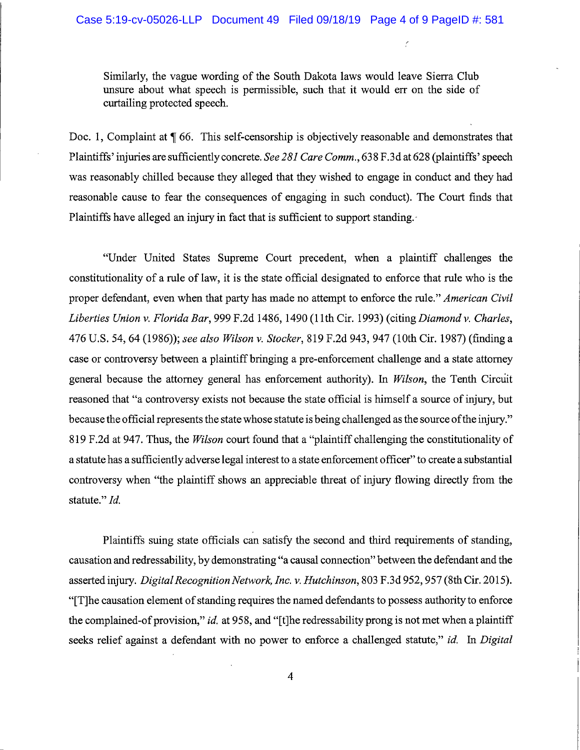Similarly, the vague wording of the South Dakota laws would leave Sierra Club unsure about what speech is permissible, such that it would err on the side of curtailing protected speech.

Doc. 1, Complaint at  $\P$  66. This self-censorship is objectively reasonable and demonstrates that Plaintiffs' injuries are sufficiently concrete. See 281 Care Comm., 638 F.3d at 628 (plaintiffs' speech was reasonably chilled because they alleged that they wished to engage in conduct and they had reasonable cause to fear the consequences of engaging in such conduct). The Court finds that Plaintiffs have alleged an injury in fact that is sufficient to support standing.

"Under United States Supreme Court precedent, when a plaintiff challenges the constitutionality of a rule of law, it is the state official designated to enforce that rule who is the proper defendant, even when that party has made no attempt to enforce the rule." American Civil Liberties Union v. Florida Bar, 999 F.2d 1486, 1490 (11th Cir. 1993) (citing Diamond v. Charles, 476 U.S. 54, 64 (1986)); see also Wilson v. Stocker, 819 F.2d 943, 947 (10th Cir. 1987) (finding a case or controversy between a plaintiff bringing a pre-enforcement challenge and a state attorney general because the attorney general has enforcement authority). In Wilson, the Tenth Circuit reasoned that "a controversy exists not because the state official is himself a source of injury, but because the official represents the state whose statute is being challenged as the source of the injury." 819 F.2d at 947. Thus, the *Wilson* court found that a "plaintiff challenging the constitutionality of a statute has a sufficiently adverse legal interest to a state enforcement officer" to create a substantial controversy when "the plaintiff shows an appreciable threat of injury flowing directly from the statute." *Id.* 

Plaintiffs suing state officials can satisfy the second and third requirements of standing, causation and redressability, by demonstrating "a causal connection" between the defendant and the asserted injury. Digital Recognition Network, Inc. v. Hutchinson, 803 F.3d 952,957 (8th Cir. 2015). "[T]he causation element of standing requires the named defendants to possess authority to enforce the complained-of provision," id. at 958, and "[t]he redressability prong is not met when a plaintiff seeks relief against a defendant with no power to enforce a challenged statute," id. In Digital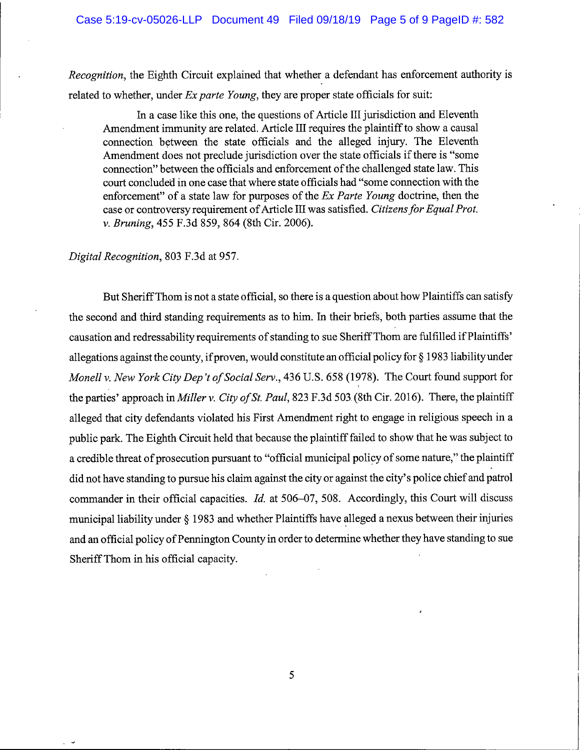Recognition, the Eighth Circuit explained that whether a defendant has enforcement authority is related to whether, under  $Ex$  parte Young, they are proper state officials for suit:

In a case like this one, the questions of Article III jurisdiction and Eleventh Amendment immunity are related. Article III requires the plaintiff to show a causal connection between the state officials and the alleged injury. The Eleventh Amendment does not preclude jurisdiction over the state officials if there is "some connection" between the officials and enforcement of the challenged state law. This court concluded in one case that where state officials had "some connection with the enforcement" of a state law for purposes of the Ex Parte Young doctrine, then the case or controversy requirement of Article III was satisfied. Citizens for Equal Prot. V. Bruning, 455 F.3d 859, 864 (8th Cir. 2006).

## Digital Recognition, 803 F.3d at 957.

But Sheriff Thom is not a state official, so there is a question about how Plaintiffs can satisfy the second and third standing requirements as to him. In their briefs, both parties assume that the causation and redressability requirements of standing to sue Sheriff Thom are fulfilled if Plaintiffs' allegations against the county, ifproven, would constitute an official policy for § 1983 liability under Monell v. New York City Dep't of Social Serv., 436 U.S. 658 (1978). The Court found support for the parties' approach in *Miller v. City of St. Paul*, 823 F.3d 503 (8th Cir. 2016). There, the plaintiff alleged that city defendants violated his First Amendment right to engage in religious speech in a public park. The Eighth Circuit held that because the plaintiff failed to show that he was subject to a credible threat of prosecution pursuant to "official municipal policy of some nature," the plaintiff did not have standing to pursue his claim against the city or against the city's police chief and patrol commander in their official capacities. Id. at 506-07, 508. Accordingly, this Court will discuss municipal liability under § 1983 and whether Plaintiffs have alleged a nexus between their injuries and an official policy of Pennington County in order to determine whether they have standing to sue Sheriff Thom in his official capacity.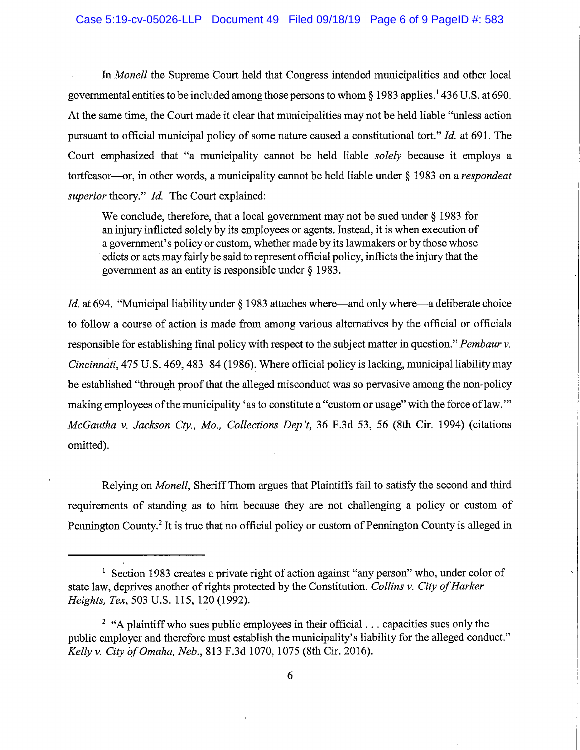In Monell the Supreme Court held that Congress intended municipalities and other local governmental entities to be included among those persons to whom § 1983 applies.' 436U.S. at 690. At the same time, the Court made it clear that municipalities may not be held liable "unless action pursuant to official municipal policy of some nature caused a constitutional tort." Id. at 691. The Court emphasized that "a municipality cannot be held liable solely because it employs a tortfeasor—or, in other words, a municipality cannot be held liable under § 1983 on a respondeat superior theory." Id. The Court explained:

We conclude, therefore, that a local government may not be sued under § 1983 for an injury inflicted solely by its employees or agents. Instead, it is when execution of a government's policy or custom, whether made by its lawmakers or by those whose edicts or acts may fairly be said to represent official policy, inflicts the injury that the government as an entity is responsible under § 1983.

Id. at 694. "Municipal liability under § 1983 attaches where—and only where—a deliberate choice to follow a course of action is made from among various alternatives by the official or officials responsible for establishing final policy with respect to the subject matter in question." Pembaur v. Cincinnati, 475 U.S. 469,483-84 (1986). Where official policy is lacking, municipal liability may be established "through proof that the alleged misconduct was so pervasive among the non-policy making employees of the municipality 'as to constitute a "custom or usage" with the force of law.'" McGautha v. Jackson Cty., Mo., Collections Dep't, 36 F.3d 53, 56 (8th Cir. 1994) (citations omitted).

Relying on Monell, Sheriff Thom argues that Plaintiffs fail to satisfy the second and third requirements of standing as to him because they are not challenging a policy or custom of Pennington County.<sup>2</sup> It is true that no official policy or custom of Pennington County is alleged in

<sup>&</sup>lt;sup>1</sup> Section 1983 creates a private right of action against "any person" who, under color of state law, deprives another of rights protected by the Constitution. Collins v. City of Harker Heights. Tex, 503 U.S. 115, 120 (1992).

<sup>&</sup>lt;sup>2</sup> "A plaintiff who sues public employees in their official... capacities sues only the public employer and therefore must establish the municipality's liability for the alleged conduct.'' Kelly V. City of Omaha, Neb., 813 F.3d 1070, 1075 (8th Cir. 2016).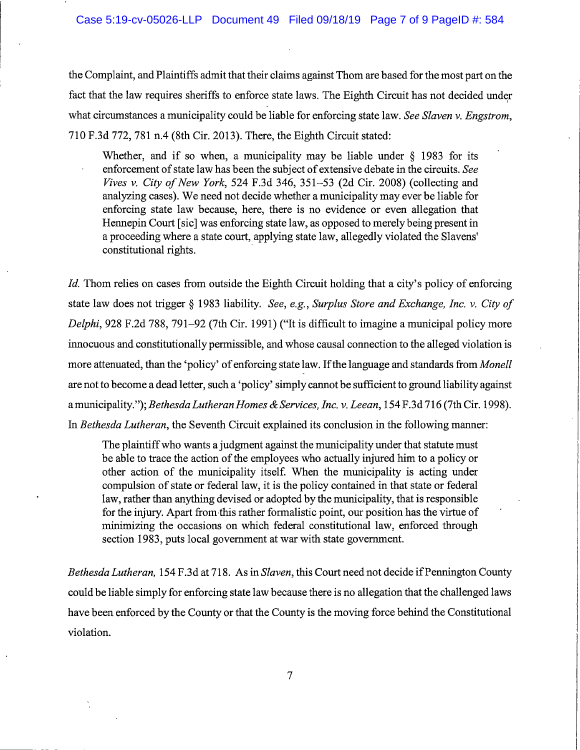the Complaint, and Plaintiffs admit that their claims against Thom are based for the most part on the fact that the law requires sheriffs to enforce state laws. The Eighth Circuit has not decided under what circumstances a municipality could be liable for enforcing state law. See Slaven v. Engstrom, 710 F.3d 772, 781 n.4 (8th Cir. 2013). There, the Eighth Circuit stated:

Whether, and if so when, a municipality may be liable under  $\S$  1983 for its enforcement of state law has been the subject of extensive debate in the circuits. See *Fives v. City of New York*, 524 F.3d 346, 351–53 (2d Cir. 2008) (collecting and analyzing cases). We need not decide whether a municipality may ever be liable for enforcing state law because, here, there is no evidence or even allegation that Hennepin Court [sic] was enforcing state law, as opposed to merely being present in a proceeding where a state court, applying state law, allegedly violated the Slavens' constitutional rights.

Id. Thom relies on cases from outside the Eighth Circuit holding that a city's policy of enforcing state law does not trigger § 1983 liability. See, e.g.. Surplus Store and Exchange, Inc. v. City of Delphi, 928 F.2d 788, 791-92 (7th Cir. 1991) ("It is difficult to imagine a municipal policy more innocuous and constitutionally permissible, and whose causal connection to the alleged violation is more attenuated, than the 'policy' of enforcing state law. If the language and standards from Monell are not to become a dead letter, such a 'policy' simply cannot be sufficient to ground liability against a municipality."); Bethesda Lutheran Homes & Services, Inc. v. Leean, 154 F.3d 716 (7th Cir. 1998). In Bethesda Lutheran, the Seventh Circuit explained its conclusion in the following manner:

The plaintiff who wants a judgment against the municipality under that statute must be able to trace the action of the employees who actually injured him to a policy or other action of the municipality itself. When the municipality is acting under compulsion of state or federal law, it is the policy contained in that state or federal law, rather than anything devised or adopted by the municipality, that is responsible for the injury. Apart from this rather formalistic point, our position has the virtue of minimizing the occasions on which federal constitutional law, enforced through section 1983, puts local government at war with state government.

Bethesda Lutheran, 154 F.3d at 718. As in Slaven, this Court need not decide if Pennington County could be liable simply for enforcing state law because there is no allegation that the challenged laws have been enforced by the County or that the County is the moving force behind the Constitutional violation.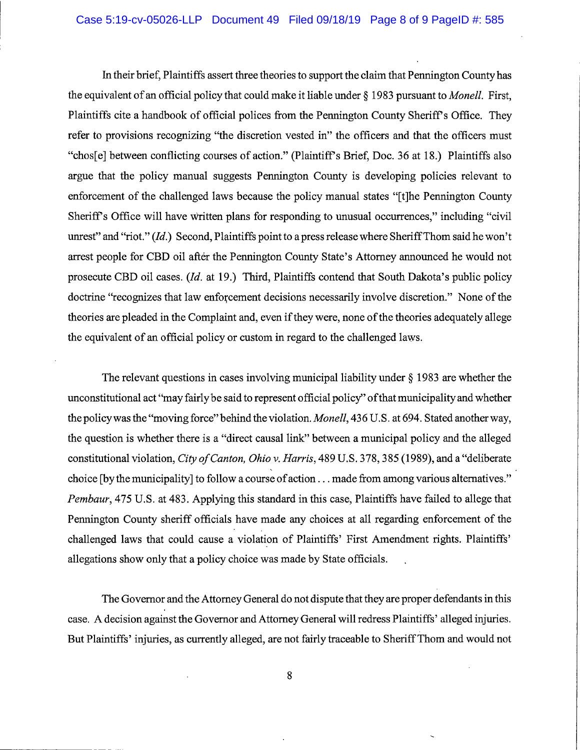In their brief, Plaintiffs assert three theories to support the claim that Pennington County has the equivalent of an official policy that could make it liable under § 1983 pursuant to *Monell*. First, Plaintiffs cite a handbook of official polices from the Pennington County Sheriff's Office. They refer to provisions recognizing "the discretion vested in" the officers and that the officers must "chos[e] between conflicting courses of action." (Plaintiffs Brief, Doc. 36 at 18.) Plaintiffs also argue that the policy manual suggests Pennington County is developing policies relevant to enforcement of the challenged laws because the policy manual states "[t]he Pennington County Sheriff's Office will have written plans for responding to unusual occurrences," including "civil" unrest" and "riot." (Id.) Second, Plaintiffs point to a press release where Sheriff Thom said he won't arrest people for CBD oil after the Pennington County State's Attorney announced he would not prosecute CBD oil cases. {Id. at 19.) Third, Plaintiffs contend that South Dakota's public policy doctrine "recognizes that law enforcement decisions necessarily involve discretion." None of the theories are pleaded in the Complaint and, even if they were, none of the theories adequately allege the equivalent of an official policy or custom in regard to the challenged laws.

The relevant questions in cases involving municipal liability under § 1983 are whether the unconstitutional act "may fairly be said to represent official policy" ofthat municipality and whether the policy was the "moving force" behind the violation. Monell, 436 U.S. at 694. Stated another way, the question is whether there is a "direct causal link" between a municipal policy and the alleged constitutional violation, City of Canton, Ohio v. Harris, 489 U.S. 378, 385 (1989), and a "deliberate choice [by the municipality] to follow a course of action... made from among various alternatives." Pembaur, 475 U.S. at 483. Applying this standard in this case, Plaintiffs have failed to allege that Pennington County sheriff officials have made any choices at all regarding enforcement of the challenged laws that could cause a violation of Plaintiffs' First Amendment rights. Plaintiffs' allegations show only that a policy choice was made by State officials.

The Governor and the Attorney General do not dispute that they are proper defendants in this case. A decision against the Governor and Attorney General will redress Plaintiffs' alleged injuries. But Plaintiffs' injuries, as currently alleged, are not fairly traceable to Sheriff Thom and would not